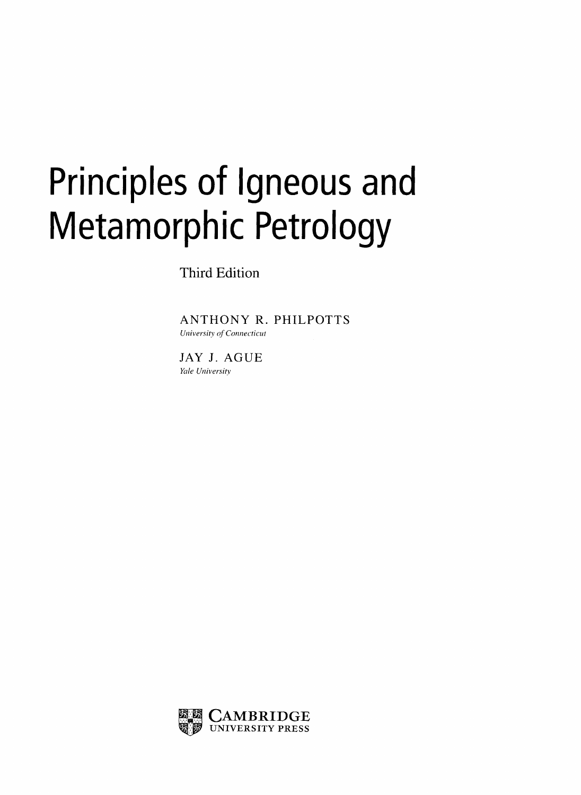## Principles of Igneous and Metamorphic Petrology

Third Edition

ANTHONY R. PHILPOTTS University of Connecticut

JAY J. AGUE Yale University

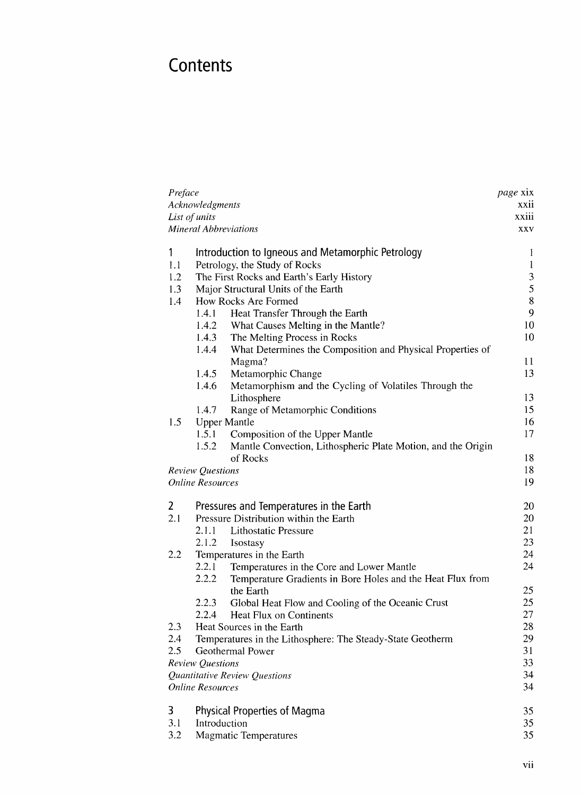## **Contents**

| Preface |                                                                       | <i>page</i> xix |
|---------|-----------------------------------------------------------------------|-----------------|
|         | Acknowledgments                                                       | xxii            |
|         | List of units                                                         | xxiii           |
|         | <b>Mineral Abbreviations</b>                                          | XXV             |
| 1       | Introduction to Igneous and Metamorphic Petrology                     | $\mathbf{1}$    |
| 1.1     | Petrology, the Study of Rocks                                         | $\mathbf{1}$    |
| 1.2     | The First Rocks and Earth's Early History                             | $\sqrt{3}$      |
| 1.3     | Major Structural Units of the Earth                                   | 5               |
| 1.4     | How Rocks Are Formed                                                  | $8\,$           |
|         | Heat Transfer Through the Earth<br>1.4.1                              | 9               |
|         | What Causes Melting in the Mantle?<br>1.4.2                           | 10              |
|         | The Melting Process in Rocks<br>1.4.3                                 | 10              |
|         | What Determines the Composition and Physical Properties of<br>1.4.4   |                 |
|         | Magma?                                                                | 11              |
|         | 1.4.5<br>Metamorphic Change                                           | 13              |
|         | 1.4.6<br>Metamorphism and the Cycling of Volatiles Through the        |                 |
|         | Lithosphere                                                           | 13              |
|         | 1.4.7<br>Range of Metamorphic Conditions                              | 15              |
| 1.5     | <b>Upper Mantle</b>                                                   | 16              |
|         | 1.5.1<br>Composition of the Upper Mantle                              | 17              |
|         | 1.5.2<br>Mantle Convection, Lithospheric Plate Motion, and the Origin |                 |
|         | of Rocks                                                              | 18              |
|         | <b>Review Questions</b>                                               | 18              |
|         | <b>Online Resources</b>                                               | 19              |
| 2       | Pressures and Temperatures in the Earth                               | 20              |
| 2.1     | Pressure Distribution within the Earth                                | 20              |
|         | 2.1.1<br><b>Lithostatic Pressure</b>                                  | 21              |
|         | 2.1.2<br>Isostasy                                                     | 23              |
| 2.2     | Temperatures in the Earth                                             | 24              |
|         | 2.2.1<br>Temperatures in the Core and Lower Mantle                    | 24              |
|         | 2.2.2<br>Temperature Gradients in Bore Holes and the Heat Flux from   |                 |
|         | the Earth                                                             | 25              |
|         | 2.2.3<br>Global Heat Flow and Cooling of the Oceanic Crust            | 25              |
|         | 2.2.4<br>Heat Flux on Continents                                      | 27              |
| 2.3     | Heat Sources in the Earth                                             | 28              |
| 2.4     | Temperatures in the Lithosphere: The Steady-State Geotherm            | 29              |
| 2.5     | Geothermal Power                                                      | 31              |
|         | <b>Review Questions</b>                                               | 33              |
|         | Quantitative Review Questions                                         | 34              |
|         | <b>Online Resources</b>                                               | 34              |
| 3       | <b>Physical Properties of Magma</b>                                   | 35              |
| 3.1     | Introduction                                                          | 35              |
| 3.2     | <b>Magmatic Temperatures</b>                                          | 35              |
|         |                                                                       |                 |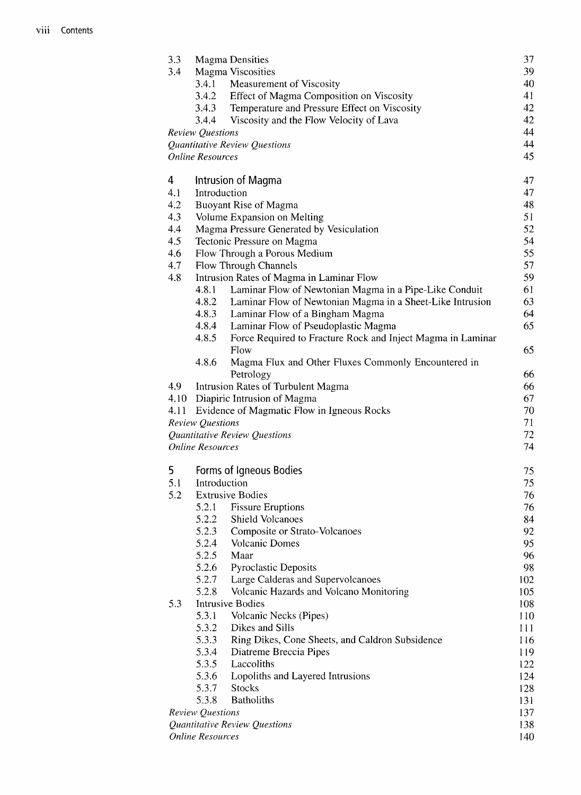| 3.3  |                                         | <b>Magma Densities</b>                                      | 37       |
|------|-----------------------------------------|-------------------------------------------------------------|----------|
| 3.4  |                                         | <b>Magma Viscosities</b>                                    | 39       |
|      | 3.4.1                                   | Measurement of Viscosity                                    | 40       |
|      | 3.4.2                                   | Effect of Magma Composition on Viscosity                    | 41       |
|      | 3.4.3                                   | Temperature and Pressure Effect on Viscosity                | 42       |
|      | 3.4.4                                   | Viscosity and the Flow Velocity of Lava                     | 42       |
|      | <b>Review Questions</b>                 |                                                             | 44       |
|      |                                         | Quantitative Review Questions                               | 44       |
|      | <b>Online Resources</b>                 |                                                             | 45       |
| 4    |                                         | Intrusion of Magma                                          | 47       |
| 4.1  | Introduction                            |                                                             | 47       |
| 4.2  |                                         | <b>Buoyant Rise of Magma</b>                                | 48       |
| 4.3  |                                         | Volume Expansion on Melting                                 | 51       |
| 4.4  |                                         | Magma Pressure Generated by Vesiculation                    | 52       |
| 4.5  |                                         | Tectonic Pressure on Magma                                  | 54       |
| 4.6  |                                         | Flow Through a Porous Medium                                | 55       |
| 4.7  |                                         | Flow Through Channels                                       | 57       |
| 4.8  |                                         | Intrusion Rates of Magma in Laminar Flow                    | 59       |
|      | 4.8.1                                   | Laminar Flow of Newtonian Magma in a Pipe-Like Conduit      | 61       |
|      | 4.8.2                                   | Laminar Flow of Newtonian Magma in a Sheet-Like Intrusion   | 63       |
|      | 4.8.3                                   | Laminar Flow of a Bingham Magma                             | 64       |
|      | 4.8.4                                   | Laminar Flow of Pseudoplastic Magma                         | 65       |
|      | 4.8.5                                   | Force Required to Fracture Rock and Inject Magma in Laminar |          |
|      |                                         | Flow                                                        | 65       |
|      | 4.8.6                                   | Magma Flux and Other Fluxes Commonly Encountered in         |          |
|      |                                         | Petrology                                                   | 66       |
| 4.9  |                                         | Intrusion Rates of Turbulent Magma                          | 66       |
| 4.10 |                                         | Diapiric Intrusion of Magma                                 | 67       |
| 4.11 |                                         | Evidence of Magmatic Flow in Igneous Rocks                  | 70       |
|      | <b>Review Questions</b>                 |                                                             | 71       |
|      | <b>Online Resources</b>                 | Quantitative Review Questions                               | 72<br>74 |
|      |                                         |                                                             |          |
| 5    | Forms of Igneous Bodies<br>Introduction |                                                             | 75       |
| 5.1  |                                         |                                                             | 75       |
| 5.2  |                                         | <b>Extrusive Bodies</b>                                     | 76       |
|      | 5.2.1                                   | <b>Fissure Eruptions</b>                                    | 76       |
|      | 5.2.2                                   | Shield Volcanoes                                            | 84       |
|      | 5.2.3                                   | Composite or Strato-Volcanoes                               | 92       |
|      | 5.2.4                                   | Volcanic Domes                                              | 95       |
|      | 5.2.5                                   | Maar                                                        | 96       |
|      | 5.2.6                                   | Pyroclastic Deposits                                        | 98       |
|      | 5.2.7                                   | Large Calderas and Supervolcanoes                           | 102      |
|      | 5.2.8                                   | Volcanic Hazards and Volcano Monitoring                     | 105      |
| 5.3  |                                         | <b>Intrusive Bodies</b>                                     | 108      |
|      | 5.3.1                                   | Volcanic Necks (Pipes)<br>Dikes and Sills                   | 110      |
|      | 5.3.2                                   |                                                             | 111      |
|      | 5.3.3                                   | Ring Dikes, Cone Sheets, and Caldron Subsidence             | 116      |
|      | 5.3.4                                   | Diatreme Breccia Pipes                                      | 119      |
|      | 5.3.5                                   | Laccoliths                                                  | 122      |
|      | 5.3.6                                   | Lopoliths and Layered Intrusions                            | 124      |
|      | 5.3.7                                   | <b>Stocks</b><br><b>Batholiths</b>                          | 128      |
|      | 5.3.8                                   |                                                             | 131      |
|      | Review Questions                        |                                                             | 137      |
|      |                                         | Quantitative Review Questions                               | 138      |
|      | <b>Online Resources</b>                 |                                                             | 140      |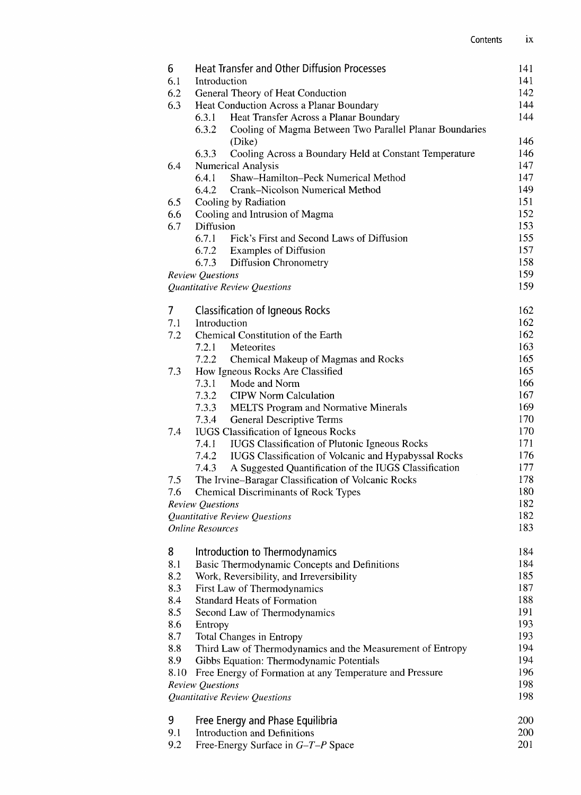| 6    | <b>Heat Transfer and Other Diffusion Processes</b><br>141<br>141 |            |  |
|------|------------------------------------------------------------------|------------|--|
| 6.1  | Introduction                                                     |            |  |
| 6.2  | General Theory of Heat Conduction                                | 142        |  |
| 6.3  | Heat Conduction Across a Planar Boundary                         | 144        |  |
|      | 6.3.1<br>Heat Transfer Across a Planar Boundary                  | 144        |  |
|      | 6.3.2<br>Cooling of Magma Between Two Parallel Planar Boundaries |            |  |
|      | (Dike)                                                           | 146        |  |
|      | 6.3.3<br>Cooling Across a Boundary Held at Constant Temperature  | 146        |  |
| 6.4  | <b>Numerical Analysis</b><br>Shaw-Hamilton-Peck Numerical Method | 147        |  |
|      | 6.4.1<br>6.4.2<br>Crank–Nicolson Numerical Method                | 147<br>149 |  |
| 6.5  | Cooling by Radiation                                             | 151        |  |
| 6.6  | Cooling and Intrusion of Magma                                   | 152        |  |
| 6.7  | Diffusion                                                        | 153        |  |
|      | 6.7.1<br>Fick's First and Second Laws of Diffusion               | 155        |  |
|      | 6.7.2<br><b>Examples of Diffusion</b>                            | 157        |  |
|      | 6.7.3<br><b>Diffusion Chronometry</b>                            | 158        |  |
|      | Review Questions                                                 | 159        |  |
|      | Quantitative Review Questions                                    | 159        |  |
|      |                                                                  |            |  |
| 7    | <b>Classification of Igneous Rocks</b>                           | 162        |  |
| 7.1  | Introduction                                                     | 162        |  |
| 7.2  | Chemical Constitution of the Earth                               | 162        |  |
|      | 7.2.1<br>Meteorites                                              | 163        |  |
|      | 7.2.2<br>Chemical Makeup of Magmas and Rocks                     | 165<br>165 |  |
| 7.3  | How Igneous Rocks Are Classified                                 | 166        |  |
|      | 7.3.1<br>Mode and Norm<br>7.3.2<br><b>CIPW Norm Calculation</b>  | 167        |  |
|      | 7.3.3 MELTS Program and Normative Minerals                       | 169        |  |
|      | 7.3.4 General Descriptive Terms                                  | 170        |  |
| 7.4  | <b>IUGS</b> Classification of Igneous Rocks                      | 170        |  |
|      | 7.4.1<br>IUGS Classification of Plutonic Igneous Rocks           | 171        |  |
|      | 7.4.2<br>IUGS Classification of Volcanic and Hypabyssal Rocks    | 176        |  |
|      | A Suggested Quantification of the IUGS Classification<br>7.4.3   | 177        |  |
| 7.5  | The Irvine-Baragar Classification of Volcanic Rocks              | 178        |  |
| 7.6  | <b>Chemical Discriminants of Rock Types</b>                      | 180        |  |
|      | Review Questions                                                 | 182        |  |
|      | Quantitative Review Questions                                    | 182        |  |
|      | <b>Online Resources</b>                                          | 183        |  |
| 8    | Introduction to Thermodynamics                                   | 184        |  |
| 8.1  | Basic Thermodynamic Concepts and Definitions                     | 184        |  |
| 8.2  | Work, Reversibility, and Irreversibility                         | 185        |  |
| 8.3  | First Law of Thermodynamics                                      | 187        |  |
| 8.4  | <b>Standard Heats of Formation</b>                               | 188        |  |
| 8.5  | Second Law of Thermodynamics                                     | 191        |  |
| 8.6  | Entropy                                                          | 193        |  |
| 8.7  | Total Changes in Entropy                                         | 193        |  |
| 8.8  | Third Law of Thermodynamics and the Measurement of Entropy       | 194        |  |
| 8.9  | Gibbs Equation: Thermodynamic Potentials                         | 194        |  |
| 8.10 | Free Energy of Formation at any Temperature and Pressure         | 196        |  |
|      | Review Questions                                                 | 198        |  |
|      | Quantitative Review Questions                                    | 198        |  |
| 9    | Free Energy and Phase Equilibria                                 | 200        |  |
| 9.1  | Introduction and Definitions                                     | 200        |  |
| 9.2  | Free-Energy Surface in $G-T-P$ Space                             | 201        |  |
|      |                                                                  |            |  |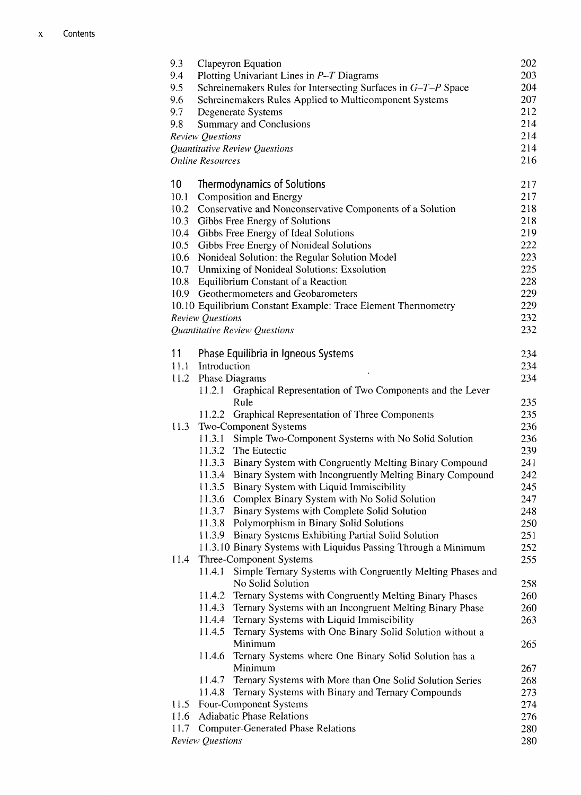| 9.3<br>9.4      | Clapeyron Equation<br>Plotting Univariant Lines in $P-T$ Diagrams                                                         | 202<br>203 |
|-----------------|---------------------------------------------------------------------------------------------------------------------------|------------|
| 9.5<br>9.6      | Schreinemakers Rules for Intersecting Surfaces in G-T-P Space<br>Schreinemakers Rules Applied to Multicomponent Systems   | 204<br>207 |
| 9.7             | Degenerate Systems                                                                                                        | 212        |
| 9.8             | Summary and Conclusions                                                                                                   | 214        |
|                 | <b>Review Questions</b>                                                                                                   | 214        |
|                 | Quantitative Review Questions                                                                                             | 214        |
|                 | <b>Online Resources</b>                                                                                                   | 216        |
| 10 <sup>°</sup> | Thermodynamics of Solutions                                                                                               | 217        |
| 10.1<br>10.2    | Composition and Energy<br>Conservative and Nonconservative Components of a Solution                                       | 217<br>218 |
| 10.3            | Gibbs Free Energy of Solutions                                                                                            | 218        |
| 10.4            | Gibbs Free Energy of Ideal Solutions                                                                                      | 219        |
| 10.5            | Gibbs Free Energy of Nonideal Solutions                                                                                   | 222        |
| 10.6            | Nonideal Solution: the Regular Solution Model                                                                             | 223        |
|                 | 10.7 Unmixing of Nonideal Solutions: Exsolution                                                                           | 225        |
| 10.8            | Equilibrium Constant of a Reaction                                                                                        | 228        |
|                 | 10.9 Geothermometers and Geobarometers                                                                                    | 229        |
|                 | 10.10 Equilibrium Constant Example: Trace Element Thermometry                                                             | 229        |
|                 | <b>Review Questions</b>                                                                                                   | 232        |
|                 | Quantitative Review Questions                                                                                             | 232        |
| 11              | Phase Equilibria in Igneous Systems                                                                                       | 234        |
| 11.1            | Introduction                                                                                                              | 234        |
| 11.2            | <b>Phase Diagrams</b>                                                                                                     | 234        |
|                 | Graphical Representation of Two Components and the Lever<br>11.2.1<br>Rule                                                | 235        |
|                 | 11.2.2 Graphical Representation of Three Components                                                                       | 235        |
| 11.3            | Two-Component Systems                                                                                                     | 236        |
|                 | 11.3.1<br>Simple Two-Component Systems with No Solid Solution                                                             | 236        |
|                 | 11.3.2 The Eutectic                                                                                                       | 239        |
|                 | 11.3.3 Binary System with Congruently Melting Binary Compound                                                             | 241        |
|                 | 11.3.4 Binary System with Incongruently Melting Binary Compound                                                           | 242        |
|                 | 11.3.5<br>Binary System with Liquid Immiscibility                                                                         | 245        |
|                 | 11.3.6<br>Complex Binary System with No Solid Solution                                                                    | 247        |
|                 | 11.3.7<br>Binary Systems with Complete Solid Solution                                                                     | 248        |
|                 | Polymorphism in Binary Solid Solutions<br>11.3.8                                                                          | 250        |
|                 | 11.3.9 Binary Systems Exhibiting Partial Solid Solution<br>11.3.10 Binary Systems with Liquidus Passing Through a Minimum | 251<br>252 |
| 11.4            | Three-Component Systems                                                                                                   | 255        |
|                 | Simple Ternary Systems with Congruently Melting Phases and<br>11.4.1                                                      |            |
|                 | No Solid Solution                                                                                                         | 258        |
|                 | Ternary Systems with Congruently Melting Binary Phases<br>11.4.2                                                          | 260        |
|                 | 11.4.3<br>Ternary Systems with an Incongruent Melting Binary Phase                                                        | 260        |
|                 | 11.4.4<br>Ternary Systems with Liquid Immiscibility<br>Ternary Systems with One Binary Solid Solution without a           | 263        |
|                 | 11.4.5<br>Minimum                                                                                                         | 265        |
|                 | Ternary Systems where One Binary Solid Solution has a<br>11.4.6                                                           |            |
|                 | Minimum                                                                                                                   | 267        |
|                 | Ternary Systems with More than One Solid Solution Series<br>11.4.7                                                        | 268        |
|                 | Ternary Systems with Binary and Ternary Compounds<br>11.4.8                                                               | 273        |
| 11.5            | Four-Component Systems                                                                                                    | 274        |
| 11.6            | <b>Adiabatic Phase Relations</b>                                                                                          | 276        |
| 11.7            | <b>Computer-Generated Phase Relations</b>                                                                                 | 280        |
|                 | Review Questions                                                                                                          | 280        |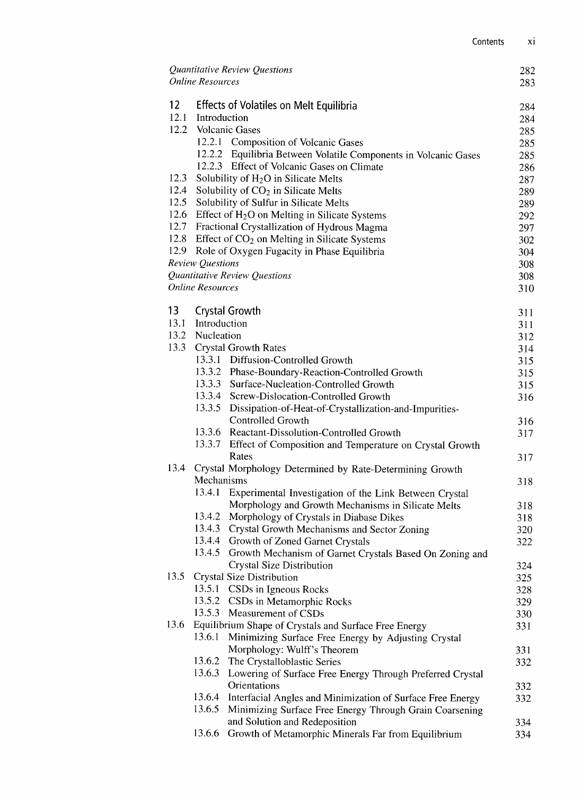|                   | <b>Online Resources</b> | Quantitative Review Questions                                                        | 282<br>283 |
|-------------------|-------------------------|--------------------------------------------------------------------------------------|------------|
| $12 \overline{ }$ |                         | <b>Effects of Volatiles on Melt Equilibria</b>                                       |            |
| 12.1              | Introduction            |                                                                                      | 284<br>284 |
| 12.2              |                         | <b>Volcanic Gases</b>                                                                | 285        |
|                   |                         | 12.2.1 Composition of Volcanic Gases                                                 | 285        |
|                   |                         | 12.2.2 Equilibria Between Volatile Components in Volcanic Gases                      | 285        |
|                   |                         | 12.2.3 Effect of Volcanic Gases on Climate                                           | 286        |
| 12.3              |                         | Solubility of H <sub>2</sub> O in Silicate Melts                                     | 287        |
| 12.4              |                         | Solubility of CO <sub>2</sub> in Silicate Melts                                      | 289        |
| 12.5              |                         | Solubility of Sulfur in Silicate Melts                                               | 289        |
| 12.6              |                         | Effect of $H_2O$ on Melting in Silicate Systems                                      | 292        |
| 12.7              |                         | Fractional Crystallization of Hydrous Magma                                          | 297        |
|                   |                         | 12.8 Effect of CO <sub>2</sub> on Melting in Silicate Systems                        | 302        |
|                   |                         | 12.9 Role of Oxygen Fugacity in Phase Equilibria                                     | 304        |
|                   | <b>Review Questions</b> |                                                                                      | 308        |
|                   |                         | Quantitative Review Questions                                                        | 308        |
|                   | <b>Online Resources</b> |                                                                                      | 310        |
| 13                |                         | <b>Crystal Growth</b>                                                                | 311        |
| 13.1              | Introduction            |                                                                                      | 311        |
| 13.2              | Nucleation              |                                                                                      | 312        |
| 13.3              |                         | <b>Crystal Growth Rates</b>                                                          | 314        |
|                   |                         | 13.3.1 Diffusion-Controlled Growth                                                   | 315        |
|                   |                         | 13.3.2 Phase-Boundary-Reaction-Controlled Growth                                     | 315        |
|                   |                         | 13.3.3 Surface-Nucleation-Controlled Growth                                          | 315        |
|                   |                         | 13.3.4 Screw-Dislocation-Controlled Growth                                           | 316        |
|                   | 13.3.5                  | Dissipation-of-Heat-of-Crystallization-and-Impurities-                               |            |
|                   |                         | Controlled Growth<br>13.3.6 Reactant-Dissolution-Controlled Growth                   | 316        |
|                   |                         | 13.3.7 Effect of Composition and Temperature on Crystal Growth                       | 317        |
|                   |                         | Rates                                                                                | 317        |
| 13.4              |                         | Crystal Morphology Determined by Rate-Determining Growth                             |            |
|                   | Mechanisms              |                                                                                      | 318        |
|                   | 13.4.1                  | Experimental Investigation of the Link Between Crystal                               |            |
|                   |                         | Morphology and Growth Mechanisms in Silicate Melts                                   | 318        |
|                   | 13.4.2                  | Morphology of Crystals in Diabase Dikes                                              | 318        |
|                   | 13.4.3                  | Crystal Growth Mechanisms and Sector Zoning                                          | 320        |
|                   | 13.4.5                  | 13.4.4 Growth of Zoned Garnet Crystals                                               | 322        |
|                   |                         | Growth Mechanism of Garnet Crystals Based On Zoning and<br>Crystal Size Distribution | 324        |
| 13.5              |                         | Crystal Size Distribution                                                            | 325        |
|                   | 13.5.1                  | CSDs in Igneous Rocks                                                                | 328        |
|                   | 13.5.2                  | CSDs in Metamorphic Rocks                                                            | 329        |
|                   | 13.5.3                  | Measurement of CSDs                                                                  | 330        |
| 13.6              |                         | Equilibrium Shape of Crystals and Surface Free Energy                                | 331        |
|                   | 13.6.1                  | Minimizing Surface Free Energy by Adjusting Crystal                                  |            |
|                   |                         | Morphology: Wulff's Theorem                                                          | 331        |
|                   | 13.6.2                  | The Crystalloblastic Series                                                          | 332        |
|                   | 13.6.3                  | Lowering of Surface Free Energy Through Preferred Crystal                            |            |
|                   | 13.6.4                  | Orientations<br>Interfacial Angles and Minimization of Surface Free Energy           | 332<br>332 |
|                   | 13.6.5                  | Minimizing Surface Free Energy Through Grain Coarsening                              |            |
|                   |                         | and Solution and Redeposition                                                        | 334        |
|                   | 13.6.6                  | Growth of Metamorphic Minerals Far from Equilibrium                                  | 334        |
|                   |                         |                                                                                      |            |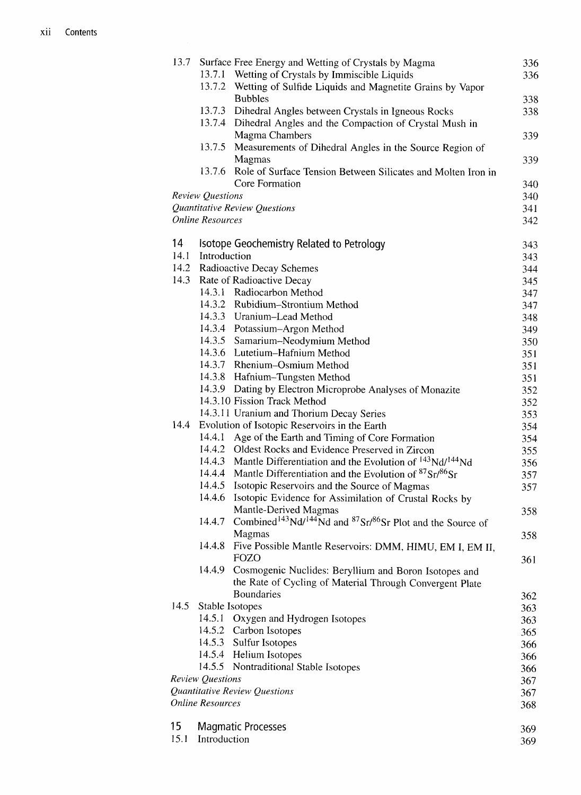| 13.7       |                         | Surface Free Energy and Wetting of Crystals by Magma                                                              | 336        |
|------------|-------------------------|-------------------------------------------------------------------------------------------------------------------|------------|
|            |                         | 13.7.1 Wetting of Crystals by Immiscible Liquids                                                                  | 336        |
|            |                         | 13.7.2 Wetting of Sulfide Liquids and Magnetite Grains by Vapor                                                   |            |
|            |                         | <b>Bubbles</b>                                                                                                    | 338        |
|            |                         | 13.7.3 Dihedral Angles between Crystals in Igneous Rocks                                                          | 338        |
|            | 13.7.4                  | Dihedral Angles and the Compaction of Crystal Mush in                                                             |            |
|            |                         | Magma Chambers                                                                                                    | 339        |
|            | 13.7.5                  | Measurements of Dihedral Angles in the Source Region of                                                           |            |
|            |                         | Magmas                                                                                                            | 339        |
|            | 13.7.6                  | Role of Surface Tension Between Silicates and Molten Iron in                                                      |            |
|            |                         | Core Formation                                                                                                    | 340        |
|            | <b>Review Questions</b> |                                                                                                                   | 340        |
|            |                         | Quantitative Review Questions                                                                                     | 341        |
|            | <b>Online Resources</b> |                                                                                                                   | 342        |
| 14         |                         | Isotope Geochemistry Related to Petrology                                                                         | 343        |
| 14.1       | Introduction            |                                                                                                                   | 343        |
|            |                         | 14.2 Radioactive Decay Schemes                                                                                    | 344        |
| 14.3       |                         | Rate of Radioactive Decay                                                                                         | 345        |
|            |                         | 14.3.1 Radiocarbon Method                                                                                         | 347        |
|            |                         | 14.3.2 Rubidium-Strontium Method                                                                                  | 347        |
|            |                         | 14.3.3 Uranium-Lead Method                                                                                        | 348        |
|            |                         | 14.3.4 Potassium-Argon Method                                                                                     | 349        |
|            |                         | 14.3.5 Samarium-Neodymium Method                                                                                  | 350        |
|            |                         | 14.3.6 Lutetium-Hafnium Method                                                                                    | 351        |
|            |                         | 14.3.7 Rhenium-Osmium Method                                                                                      | 351        |
|            |                         | 14.3.8 Hafnium-Tungsten Method                                                                                    | 351        |
|            |                         | 14.3.9 Dating by Electron Microprobe Analyses of Monazite                                                         | 352        |
|            |                         | 14.3.10 Fission Track Method                                                                                      | 352        |
|            |                         | 14.3.11 Uranium and Thorium Decay Series                                                                          | 353        |
| 14.4       |                         | Evolution of Isotopic Reservoirs in the Earth                                                                     | 354        |
|            | 14.4.1                  | Age of the Earth and Timing of Core Formation                                                                     | 354        |
|            | 14.4.2                  | Oldest Rocks and Evidence Preserved in Zircon                                                                     | 355        |
|            | 14.4.3                  | Mantle Differentiation and the Evolution of <sup>143</sup> Nd/ <sup>144</sup> Nd                                  | 356        |
|            | 14.4.4                  | Mantle Differentiation and the Evolution of $87\text{Sr}/86\text{Sr}$                                             | 357        |
|            | 14.4.5                  | Isotopic Reservoirs and the Source of Magmas                                                                      | 357        |
|            | 14.4.6                  | Isotopic Evidence for Assimilation of Crustal Rocks by                                                            |            |
|            |                         | Mantle-Derived Magmas                                                                                             | 358        |
|            | 14.4.7                  | Combined <sup>143</sup> Nd/ <sup>144</sup> Nd and <sup>87</sup> Sr/ <sup>86</sup> Sr Plot and the Source of       |            |
|            |                         | Magmas                                                                                                            | 358        |
|            | 14.4.8                  | Five Possible Mantle Reservoirs: DMM, HIMU, EM I, EM II,<br>FOZO                                                  |            |
|            | 14.4.9                  |                                                                                                                   | 361        |
|            |                         | Cosmogenic Nuclides: Beryllium and Boron Isotopes and<br>the Rate of Cycling of Material Through Convergent Plate |            |
|            |                         | <b>Boundaries</b>                                                                                                 |            |
| 14.5       |                         | Stable Isotopes                                                                                                   | 362        |
|            | 14.5.1                  | Oxygen and Hydrogen Isotopes                                                                                      | 363        |
|            |                         | 14.5.2 Carbon Isotopes                                                                                            | 363<br>365 |
|            | 14.5.3                  | Sulfur Isotopes                                                                                                   | 366        |
|            |                         | 14.5.4 Helium Isotopes                                                                                            | 366        |
|            |                         | 14.5.5 Nontraditional Stable Isotopes                                                                             | 366        |
|            | <b>Review Questions</b> |                                                                                                                   | 367        |
|            |                         | Quantitative Review Questions                                                                                     | 367        |
|            | <b>Online Resources</b> |                                                                                                                   | 368        |
|            |                         |                                                                                                                   |            |
| 15<br>15.1 | Introduction            | <b>Magmatic Processes</b>                                                                                         | 369        |
|            |                         |                                                                                                                   | 369        |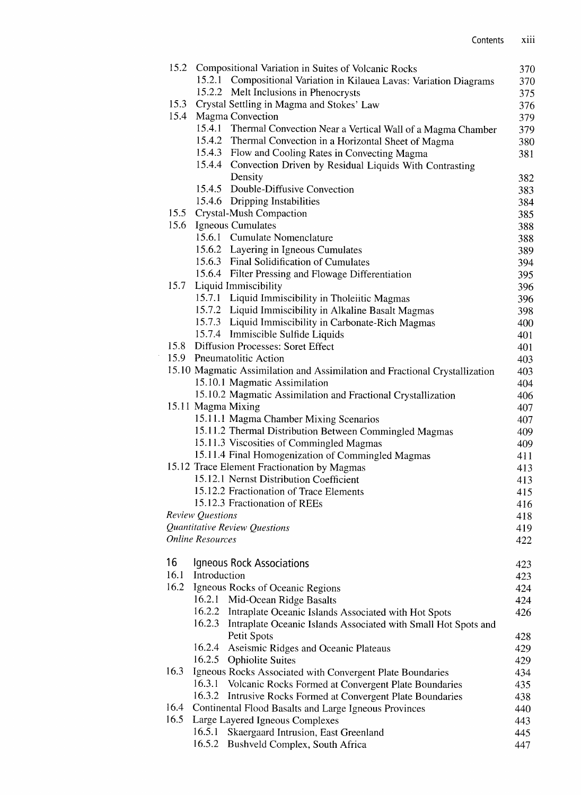|    |      |                         | 15.2 Compositional Variation in Suites of Volcanic Rocks                    | 370 |
|----|------|-------------------------|-----------------------------------------------------------------------------|-----|
|    |      |                         | 15.2.1 Compositional Variation in Kilauea Lavas: Variation Diagrams         | 370 |
|    |      |                         | 15.2.2 Melt Inclusions in Phenocrysts                                       | 375 |
|    | 15.3 |                         | Crystal Settling in Magma and Stokes' Law                                   | 376 |
|    | 15.4 |                         | Magma Convection                                                            | 379 |
|    |      |                         | 15.4.1 Thermal Convection Near a Vertical Wall of a Magma Chamber           | 379 |
|    |      |                         | 15.4.2 Thermal Convection in a Horizontal Sheet of Magma                    | 380 |
|    |      |                         | 15.4.3 Flow and Cooling Rates in Convecting Magma                           | 381 |
|    |      |                         | 15.4.4 Convection Driven by Residual Liquids With Contrasting               |     |
|    |      |                         | Density                                                                     | 382 |
|    |      |                         | 15.4.5 Double-Diffusive Convection                                          | 383 |
|    |      |                         | 15.4.6 Dripping Instabilities                                               | 384 |
|    |      |                         | 15.5 Crystal-Mush Compaction                                                | 385 |
|    | 15.6 |                         | Igneous Cumulates                                                           | 388 |
|    |      |                         | 15.6.1 Cumulate Nomenclature                                                | 388 |
|    |      |                         | 15.6.2 Layering in Igneous Cumulates                                        | 389 |
|    |      |                         | 15.6.3 Final Solidification of Cumulates                                    | 394 |
|    |      |                         | 15.6.4 Filter Pressing and Flowage Differentiation                          | 395 |
|    | 15.7 |                         | Liquid Immiscibility                                                        | 396 |
|    |      |                         | 15.7.1 Liquid Immiscibility in Tholeiitic Magmas                            | 396 |
|    |      |                         | 15.7.2 Liquid Immiscibility in Alkaline Basalt Magmas                       |     |
|    |      |                         | 15.7.3 Liquid Immiscibility in Carbonate-Rich Magmas                        | 398 |
|    |      |                         | 15.7.4 Immiscible Sulfide Liquids                                           | 400 |
|    |      |                         | 15.8 Diffusion Processes: Soret Effect                                      | 401 |
|    |      |                         | 15.9 Pneumatolitic Action                                                   | 401 |
|    |      |                         |                                                                             | 403 |
|    |      |                         | 15.10 Magmatic Assimilation and Assimilation and Fractional Crystallization | 403 |
|    |      |                         | 15.10.1 Magmatic Assimilation                                               | 404 |
|    |      |                         | 15.10.2 Magmatic Assimilation and Fractional Crystallization                | 406 |
|    |      |                         | 15.11 Magma Mixing                                                          | 407 |
|    |      |                         | 15.11.1 Magma Chamber Mixing Scenarios                                      | 407 |
|    |      |                         | 15.11.2 Thermal Distribution Between Commingled Magmas                      | 409 |
|    |      |                         | 15.11.3 Viscosities of Commingled Magmas                                    | 409 |
|    |      |                         | 15.11.4 Final Homogenization of Commingled Magmas                           | 411 |
|    |      |                         | 15.12 Trace Element Fractionation by Magmas                                 | 413 |
|    |      |                         | 15.12.1 Nernst Distribution Coefficient                                     | 413 |
|    |      |                         | 15.12.2 Fractionation of Trace Elements                                     | 415 |
|    |      |                         | 15.12.3 Fractionation of REEs                                               | 416 |
|    |      | Review Questions        |                                                                             | 418 |
|    |      |                         | Quantitative Review Questions                                               | 419 |
|    |      | <b>Online Resources</b> |                                                                             | 422 |
| 16 |      |                         | Igneous Rock Associations                                                   | 423 |
|    | 16.1 | Introduction            |                                                                             | 423 |
|    | 16.2 |                         | Igneous Rocks of Oceanic Regions                                            | 424 |
|    |      | 16.2.1                  | Mid-Ocean Ridge Basalts                                                     | 424 |
|    |      | 16.2.2                  | Intraplate Oceanic Islands Associated with Hot Spots                        | 426 |
|    |      |                         | 16.2.3 Intraplate Oceanic Islands Associated with Small Hot Spots and       |     |
|    |      |                         | Petit Spots                                                                 | 428 |
|    |      | 16.2.4                  | Aseismic Ridges and Oceanic Plateaus                                        | 429 |
|    |      |                         | 16.2.5 Ophiolite Suites                                                     | 429 |
|    | 16.3 |                         | Igneous Rocks Associated with Convergent Plate Boundaries                   | 434 |
|    |      | 16.3.1                  | Volcanic Rocks Formed at Convergent Plate Boundaries                        | 435 |
|    |      | 16.3.2                  | Intrusive Rocks Formed at Convergent Plate Boundaries                       | 438 |
|    | 16.4 |                         | Continental Flood Basalts and Large Igneous Provinces                       | 440 |
|    | 16.5 |                         | Large Layered Igneous Complexes                                             | 443 |
|    |      | 16.5.1                  | Skaergaard Intrusion, East Greenland                                        | 445 |
|    |      | 16.5.2                  | Bushveld Complex, South Africa                                              | 447 |
|    |      |                         |                                                                             |     |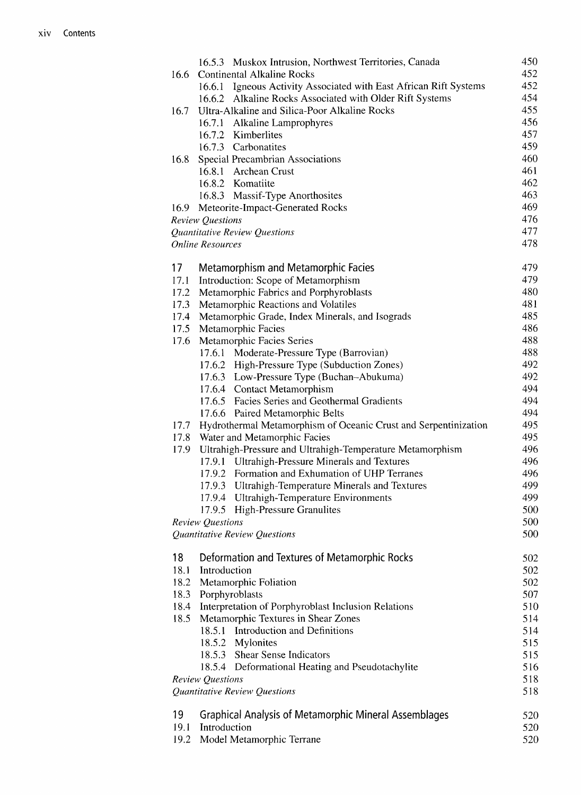|      | 16.5.3 Muskox Intrusion, Northwest Territories, Canada                   | 450<br>452 |
|------|--------------------------------------------------------------------------|------------|
| 16.6 | <b>Continental Alkaline Rocks</b>                                        |            |
|      | 16.6.1 Igneous Activity Associated with East African Rift Systems        | 452        |
|      | 16.6.2 Alkaline Rocks Associated with Older Rift Systems                 | 454        |
| 16.7 | Ultra-Alkaline and Silica-Poor Alkaline Rocks                            | 455        |
|      | 16.7.1 Alkaline Lamprophyres                                             | 456        |
|      | 16.7.2 Kimberlites                                                       | 457        |
|      | 16.7.3 Carbonatites                                                      | 459        |
| 16.8 | Special Precambrian Associations<br>16.8.1 Archean Crust                 | 460<br>461 |
|      |                                                                          |            |
|      | 16.8.2 Komatiite                                                         | 462<br>463 |
|      | 16.8.3 Massif-Type Anorthosites<br>16.9 Meteorite-Impact-Generated Rocks | 469        |
|      |                                                                          | 476        |
|      | <b>Review Questions</b><br>Quantitative Review Questions                 | 477        |
|      | <b>Online Resources</b>                                                  | 478        |
|      |                                                                          |            |
| 17   | Metamorphism and Metamorphic Facies                                      | 479        |
| 17.1 | Introduction: Scope of Metamorphism                                      | 479        |
| 17.2 | Metamorphic Fabrics and Porphyroblasts                                   | 480        |
| 17.3 | Metamorphic Reactions and Volatiles                                      | 481        |
| 17.4 | Metamorphic Grade, Index Minerals, and Isograds                          | 485        |
| 17.5 | Metamorphic Facies                                                       | 486        |
| 17.6 | Metamorphic Facies Series                                                | 488        |
|      | 17.6.1 Moderate-Pressure Type (Barrovian)                                | 488        |
|      | 17.6.2 High-Pressure Type (Subduction Zones)                             | 492        |
|      | 17.6.3 Low-Pressure Type (Buchan-Abukuma)                                | 492        |
|      | 17.6.4 Contact Metamorphism                                              | 494        |
|      | 17.6.5 Facies Series and Geothermal Gradients                            | 494        |
|      | 17.6.6 Paired Metamorphic Belts                                          | 494        |
| 17.7 | Hydrothermal Metamorphism of Oceanic Crust and Serpentinization          | 495        |
| 17.8 | Water and Metamorphic Facies                                             | 495        |
| 17.9 | Ultrahigh-Pressure and Ultrahigh-Temperature Metamorphism                | 496        |
|      | 17.9.1 Ultrahigh-Pressure Minerals and Textures                          | 496        |
|      | 17.9.2 Formation and Exhumation of UHP Terranes                          | 496        |
|      | 17.9.3 Ultrahigh-Temperature Minerals and Textures                       | 499        |
|      | 17.9.4 Ultrahigh-Temperature Environments                                | 499        |
|      | 17.9.5 High-Pressure Granulites                                          | 500        |
|      | Review Questions                                                         | 500        |
|      | Quantitative Review Questions                                            | 500        |
| 18   | Deformation and Textures of Metamorphic Rocks                            | 502        |
| 18.1 | Introduction                                                             | 502        |
| 18.2 | Metamorphic Foliation                                                    | 502        |
| 18.3 | Porphyroblasts                                                           | 507        |
| 18.4 | Interpretation of Porphyroblast Inclusion Relations                      | 510        |
| 18.5 | Metamorphic Textures in Shear Zones                                      | 514        |
|      | Introduction and Definitions<br>18.5.1                                   | 514        |
|      | 18.5.2 Mylonites                                                         | 515        |
|      | 18.5.3 Shear Sense Indicators                                            | 515        |
|      | 18.5.4 Deformational Heating and Pseudotachylite                         | 516        |
|      | <b>Review Questions</b>                                                  | 518        |
|      | Quantitative Review Questions                                            | 518        |
|      |                                                                          |            |
| 19   | <b>Graphical Analysis of Metamorphic Mineral Assemblages</b>             | 520        |
| 19.1 | Introduction                                                             | 520        |
| 19.2 | Model Metamorphic Terrane                                                | 520        |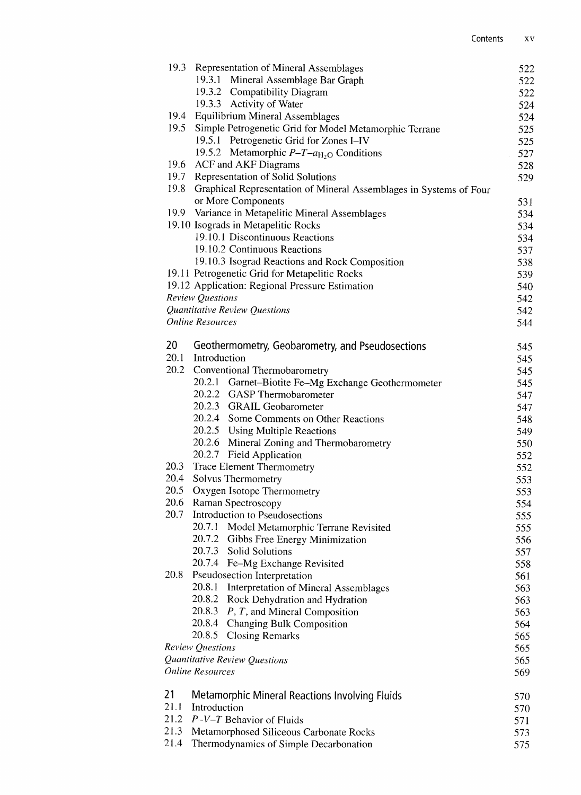| 19.3 | <b>Representation of Mineral Assemblages</b>                       | 522        |
|------|--------------------------------------------------------------------|------------|
|      | 19.3.1 Mineral Assemblage Bar Graph                                | 522        |
|      | 19.3.2 Compatibility Diagram                                       | 522        |
|      | 19.3.3 Activity of Water                                           | 524        |
| 19.4 | <b>Equilibrium Mineral Assemblages</b>                             | 524        |
| 19.5 | Simple Petrogenetic Grid for Model Metamorphic Terrane             | 525        |
|      | 19.5.1 Petrogenetic Grid for Zones I-IV                            | 525        |
|      | 19.5.2 Metamorphic $P - T - a_{H_2O}$ Conditions                   | 527        |
| 19.6 | <b>ACF</b> and <b>AKF</b> Diagrams                                 | 528        |
| 19.7 | Representation of Solid Solutions                                  | 529        |
| 19.8 | Graphical Representation of Mineral Assemblages in Systems of Four |            |
|      | or More Components                                                 | 531        |
| 19.9 | Variance in Metapelitic Mineral Assemblages                        | 534        |
|      | 19.10 Isograds in Metapelitic Rocks                                | 534        |
|      | 19.10.1 Discontinuous Reactions                                    | 534        |
|      | 19.10.2 Continuous Reactions                                       | 537        |
|      | 19.10.3 Isograd Reactions and Rock Composition                     | 538        |
|      | 19.11 Petrogenetic Grid for Metapelitic Rocks                      | 539        |
|      | 19.12 Application: Regional Pressure Estimation                    | 540        |
|      | Review Questions                                                   | 542        |
|      | Quantitative Review Questions                                      | 542        |
|      | <b>Online Resources</b>                                            | 544        |
| 20   | Geothermometry, Geobarometry, and Pseudosections                   |            |
| 20.1 | Introduction                                                       | 545<br>545 |
| 20.2 | Conventional Thermobarometry                                       | 545        |
|      | 20.2.1 Garnet-Biotite Fe-Mg Exchange Geothermometer                | 545        |
|      | 20.2.2 GASP Thermobarometer                                        | 547        |
|      | 20.2.3 GRAIL Geobarometer                                          | 547        |
|      | 20.2.4 Some Comments on Other Reactions                            | 548        |
|      | 20.2.5 Using Multiple Reactions                                    | 549        |
|      | 20.2.6 Mineral Zoning and Thermobarometry                          | 550        |
|      | 20.2.7 Field Application                                           | 552        |
| 20.3 | <b>Trace Element Thermometry</b>                                   | 552        |
| 20.4 | Solvus Thermometry                                                 | 553        |
| 20.5 | Oxygen Isotope Thermometry                                         | 553        |
| 20.6 | Raman Spectroscopy                                                 | 554        |
| 20.7 | Introduction to Pseudosections                                     | 555        |
|      | 20.7.1 Model Metamorphic Terrane Revisited                         | 555        |
|      | 20.7.2<br>Gibbs Free Energy Minimization                           | 556        |
|      | 20.7.3<br><b>Solid Solutions</b>                                   | 557        |
|      | 20.7.4<br>Fe-Mg Exchange Revisited                                 | 558        |
| 20.8 | Pseudosection Interpretation                                       | 561        |
|      | 20.8.1<br>Interpretation of Mineral Assemblages                    | 563        |
|      | 20.8.2<br>Rock Dehydration and Hydration                           | 563        |
|      | 20.8.3<br>$P, T,$ and Mineral Composition                          | 563        |
|      | 20.8.4<br>Changing Bulk Composition                                | 564        |
|      | 20.8.5<br><b>Closing Remarks</b>                                   | 565        |
|      | Review Questions                                                   | 565        |
|      | Quantitative Review Questions                                      | 565        |
|      | <b>Online Resources</b>                                            | 569        |
| 21   | Metamorphic Mineral Reactions Involving Fluids                     | 570        |
| 21.1 | Introduction                                                       |            |
| 21.2 | $P-V-T$ Behavior of Fluids                                         | 570<br>571 |
| 21.3 | Metamorphosed Siliceous Carbonate Rocks                            | 573        |
| 21.4 | Thermodynamics of Simple Decarbonation                             | 575        |
|      |                                                                    |            |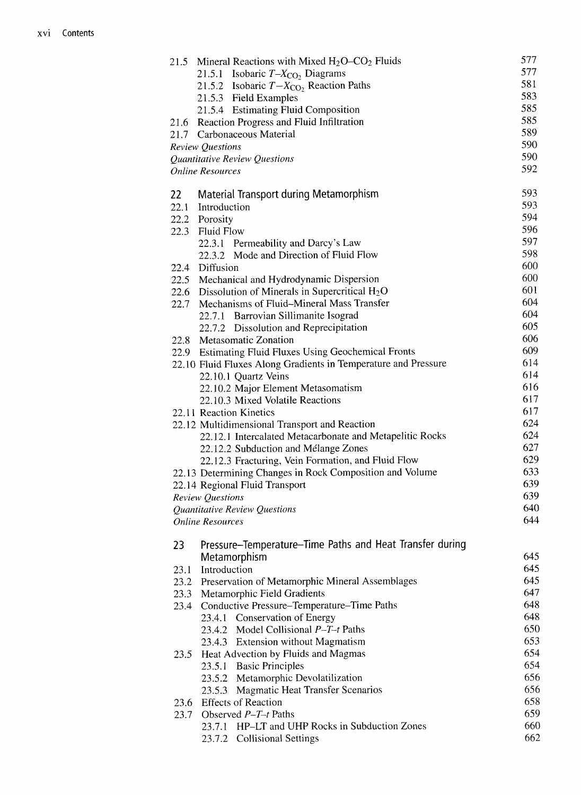| 21.5 | Mineral Reactions with Mixed $H_2O$ – $CO_2$ Fluids            | 577 |
|------|----------------------------------------------------------------|-----|
|      | 21.5.1 Isobaric $T - X_{CO_2}$ Diagrams                        | 577 |
|      | 21.5.2 Isobaric $T - X_{CO}$ , Reaction Paths                  | 581 |
|      | 21.5.3 Field Examples                                          | 583 |
|      | 21.5.4 Estimating Fluid Composition                            | 585 |
|      | 21.6 Reaction Progress and Fluid Infiltration                  | 585 |
|      | 21.7 Carbonaceous Material                                     | 589 |
|      | <b>Review Questions</b>                                        | 590 |
|      | Quantitative Review Questions                                  | 590 |
|      | <b>Online Resources</b>                                        | 592 |
| 22   | <b>Material Transport during Metamorphism</b>                  | 593 |
| 22.1 | Introduction                                                   | 593 |
|      | 22.2 Porosity                                                  | 594 |
| 22.3 | <b>Fluid Flow</b>                                              | 596 |
|      | 22.3.1 Permeability and Darcy's Law                            | 597 |
|      | 22.3.2 Mode and Direction of Fluid Flow                        | 598 |
| 22.4 | Diffusion                                                      | 600 |
|      | 22.5 Mechanical and Hydrodynamic Dispersion                    | 600 |
|      | 22.6 Dissolution of Minerals in Supercritical $H_2O$           | 601 |
| 22.7 | Mechanisms of Fluid–Mineral Mass Transfer                      | 604 |
|      |                                                                | 604 |
|      | 22.7.1 Barrovian Sillimanite Isograd                           | 605 |
|      | 22.7.2 Dissolution and Reprecipitation                         | 606 |
| 22.8 | Metasomatic Zonation                                           | 609 |
|      | 22.9 Estimating Fluid Fluxes Using Geochemical Fronts          | 614 |
|      | 22.10 Fluid Fluxes Along Gradients in Temperature and Pressure |     |
|      | 22.10.1 Quartz Veins                                           | 614 |
|      | 22.10.2 Major Element Metasomatism                             | 616 |
|      | 22.10.3 Mixed Volatile Reactions                               | 617 |
|      | 22.11 Reaction Kinetics                                        | 617 |
|      | 22.12 Multidimensional Transport and Reaction                  | 624 |
|      | 22.12.1 Intercalated Metacarbonate and Metapelitic Rocks       | 624 |
|      | 22.12.2 Subduction and Mélange Zones                           | 627 |
|      | 22.12.3 Fracturing, Vein Formation, and Fluid Flow             | 629 |
|      | 22.13 Determining Changes in Rock Composition and Volume       | 633 |
|      | 22.14 Regional Fluid Transport                                 | 639 |
|      | <b>Review Questions</b>                                        | 639 |
|      | Quantitative Review Questions                                  | 640 |
|      | <b>Online Resources</b>                                        | 644 |
| 23   | Pressure–Temperature–Time Paths and Heat Transfer during       |     |
|      | Metamorphism                                                   | 645 |
| 23.1 | Introduction                                                   | 645 |
|      | 23.2 Preservation of Metamorphic Mineral Assemblages           | 645 |
| 23.3 | Metamorphic Field Gradients                                    | 647 |
| 23.4 | Conductive Pressure-Temperature-Time Paths                     | 648 |
|      | 23.4.1 Conservation of Energy                                  | 648 |
|      | 23.4.2 Model Collisional $P-T-t$ Paths                         | 650 |
|      | 23.4.3 Extension without Magmatism                             | 653 |
| 23.5 | Heat Advection by Fluids and Magmas                            | 654 |
|      | <b>Basic Principles</b><br>23.5.1                              | 654 |
|      | 23.5.2<br>Metamorphic Devolatilization                         | 656 |
|      | <b>Magmatic Heat Transfer Scenarios</b><br>23.5.3              | 656 |
|      | <b>Effects of Reaction</b>                                     | 658 |
| 23.6 | Observed $P-T-t$ Paths                                         | 659 |
| 23.7 |                                                                |     |
|      | 23.7.1 HP-LT and UHP Rocks in Subduction Zones                 | 660 |
|      | 23.7.2 Collisional Settings                                    | 662 |